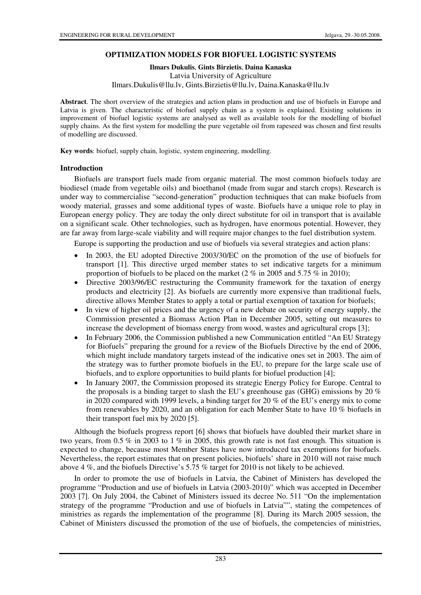## **OPTIMIZATION MODELS FOR BIOFUEL LOGISTIC SYSTEMS**

#### **Ilmars Dukulis**, **Gints Birzietis**, **Daina Kanaska**

Latvia University of Agriculture Ilmars.Dukulis@llu.lv, Gints.Birzietis@llu.lv, Daina.Kanaska@llu.lv

**Abstract**. The short overview of the strategies and action plans in production and use of biofuels in Europe and Latvia is given. The characteristic of biofuel supply chain as a system is explained. Existing solutions in improvement of biofuel logistic systems are analysed as well as available tools for the modelling of biofuel supply chains. As the first system for modelling the pure vegetable oil from rapeseed was chosen and first results of modelling are discussed.

**Key words**: biofuel, supply chain, logistic, system engineering, modelling.

## **Introduction**

Biofuels are transport fuels made from organic material. The most common biofuels today are biodiesel (made from vegetable oils) and bioethanol (made from sugar and starch crops). Research is under way to commercialise "second-generation" production techniques that can make biofuels from woody material, grasses and some additional types of waste. Biofuels have a unique role to play in European energy policy. They are today the only direct substitute for oil in transport that is available on a significant scale. Other technologies, such as hydrogen, have enormous potential. However, they are far away from large-scale viability and will require major changes to the fuel distribution system.

Europe is supporting the production and use of biofuels via several strategies and action plans:

- In 2003, the EU adopted Directive 2003/30/EC on the promotion of the use of biofuels for transport [1]. This directive urged member states to set indicative targets for a minimum proportion of biofuels to be placed on the market (2 % in 2005 and 5.75 % in 2010);
- Directive 2003/96/EC restructuring the Community framework for the taxation of energy products and electricity [2]. As biofuels are currently more expensive than traditional fuels, directive allows Member States to apply a total or partial exemption of taxation for biofuels;
- In view of higher oil prices and the urgency of a new debate on security of energy supply, the Commission presented a Biomass Action Plan in December 2005, setting out measures to increase the development of biomass energy from wood, wastes and agricultural crops [3];
- In February 2006, the Commission published a new Communication entitled "An EU Strategy for Biofuels" preparing the ground for a review of the Biofuels Directive by the end of 2006, which might include mandatory targets instead of the indicative ones set in 2003. The aim of the strategy was to further promote biofuels in the EU, to prepare for the large scale use of biofuels, and to explore opportunities to build plants for biofuel production [4];
- In January 2007, the Commission proposed its strategic Energy Policy for Europe. Central to the proposals is a binding target to slash the EU's greenhouse gas (GHG) emissions by 20  $\%$ in 2020 compared with 1999 levels, a binding target for 20 % of the EU's energy mix to come from renewables by 2020, and an obligation for each Member State to have 10 % biofuels in their transport fuel mix by 2020 [5].

Although the biofuels progress report [6] shows that biofuels have doubled their market share in two years, from 0.5 % in 2003 to 1 % in 2005, this growth rate is not fast enough. This situation is expected to change, because most Member States have now introduced tax exemptions for biofuels. Nevertheless, the report estimates that on present policies, biofuels' share in 2010 will not raise much above 4 %, and the biofuels Directive's 5.75 % target for 2010 is not likely to be achieved.

In order to promote the use of biofuels in Latvia, the Cabinet of Ministers has developed the programme "Production and use of biofuels in Latvia (2003-2010)" which was accepted in December 2003 [7]. On July 2004, the Cabinet of Ministers issued its decree No. 511 "On the implementation strategy of the programme "Production and use of biofuels in Latvia"", stating the competences of ministries as regards the implementation of the programme [8]. During its March 2005 session, the Cabinet of Ministers discussed the promotion of the use of biofuels, the competencies of ministries,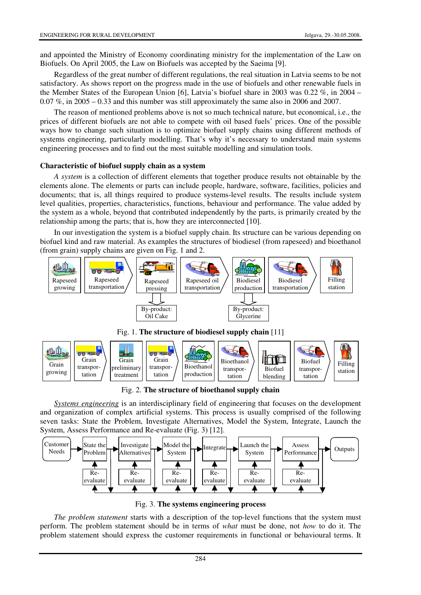and appointed the Ministry of Economy coordinating ministry for the implementation of the Law on Biofuels. On April 2005, the Law on Biofuels was accepted by the Saeima [9].

Regardless of the great number of different regulations, the real situation in Latvia seems to be not satisfactory. As shows report on the progress made in the use of biofuels and other renewable fuels in the Member States of the European Union [6], Latvia's biofuel share in 2003 was 0.22 %, in 2004 – 0.07 %, in 2005 – 0.33 and this number was still approximately the same also in 2006 and 2007.

The reason of mentioned problems above is not so much technical nature, but economical, i.e., the prices of different biofuels are not able to compete with oil based fuels' prices. One of the possible ways how to change such situation is to optimize biofuel supply chains using different methods of systems engineering, particularly modelling. That's why it's necessary to understand main systems engineering processes and to find out the most suitable modelling and simulation tools.

## **Characteristic of biofuel supply chain as a system**

*A system* is a collection of different elements that together produce results not obtainable by the elements alone. The elements or parts can include people, hardware, software, facilities, policies and documents; that is, all things required to produce systems-level results. The results include system level qualities, properties, characteristics, functions, behaviour and performance. The value added by the system as a whole, beyond that contributed independently by the parts, is primarily created by the relationship among the parts; that is, how they are interconnected [10].

In our investigation the system is a biofuel supply chain. Its structure can be various depending on biofuel kind and raw material. As examples the structures of biodiesel (from rapeseed) and bioethanol (from grain) supply chains are given on Fig. 1 and 2.





Fig. 2. **The structure of bioethanol supply chain**

*Systems engineering* is an interdisciplinary field of engineering that focuses on the development and organization of complex artificial systems. This process is usually comprised of the following seven tasks: State the Problem, Investigate Alternatives, Model the System, Integrate, Launch the System, Assess Performance and Re-evaluate (Fig. 3) [12].



Fig. 3. **The systems engineering process**

*The problem statement* starts with a description of the top-level functions that the system must perform. The problem statement should be in terms of *what* must be done, not *how* to do it. The problem statement should express the customer requirements in functional or behavioural terms. It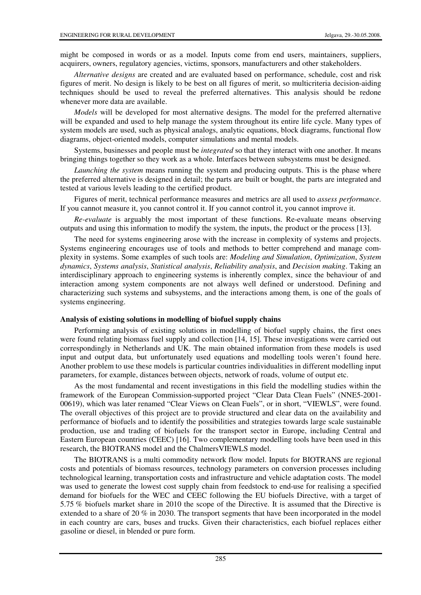might be composed in words or as a model. Inputs come from end users, maintainers, suppliers, acquirers, owners, regulatory agencies, victims, sponsors, manufacturers and other stakeholders.

*Alternative designs* are created and are evaluated based on performance, schedule, cost and risk figures of merit. No design is likely to be best on all figures of merit, so multicriteria decision-aiding techniques should be used to reveal the preferred alternatives. This analysis should be redone whenever more data are available.

*Models* will be developed for most alternative designs. The model for the preferred alternative will be expanded and used to help manage the system throughout its entire life cycle. Many types of system models are used, such as physical analogs, analytic equations, block diagrams, functional flow diagrams, object-oriented models, computer simulations and mental models.

Systems, businesses and people must be *integrated* so that they interact with one another. It means bringing things together so they work as a whole. Interfaces between subsystems must be designed.

*Launching the system* means running the system and producing outputs. This is the phase where the preferred alternative is designed in detail; the parts are built or bought, the parts are integrated and tested at various levels leading to the certified product.

Figures of merit, technical performance measures and metrics are all used to *assess performance*. If you cannot measure it, you cannot control it. If you cannot control it, you cannot improve it.

*Re-evaluate* is arguably the most important of these functions. Re-evaluate means observing outputs and using this information to modify the system, the inputs, the product or the process [13].

The need for systems engineering arose with the increase in complexity of systems and projects. Systems engineering encourages use of tools and methods to better comprehend and manage complexity in systems. Some examples of such tools are: *Modeling and Simulation*, *Optimization*, *System dynamics*, *Systems analysis*, *Statistical analysis*, *Reliability analysis*, and *Decision making*. Taking an interdisciplinary approach to engineering systems is inherently complex, since the behaviour of and interaction among system components are not always well defined or understood. Defining and characterizing such systems and subsystems, and the interactions among them, is one of the goals of systems engineering.

## **Analysis of existing solutions in modelling of biofuel supply chains**

Performing analysis of existing solutions in modelling of biofuel supply chains, the first ones were found relating biomass fuel supply and collection [14, 15]. These investigations were carried out correspondingly in Netherlands and UK. The main obtained information from these models is used input and output data, but unfortunately used equations and modelling tools weren't found here. Another problem to use these models is particular countries individualities in different modelling input parameters, for example, distances between objects, network of roads, volume of output etc.

As the most fundamental and recent investigations in this field the modelling studies within the framework of the European Commission-supported project "Clear Data Clean Fuels" (NNE5-2001- 00619), which was later renamed "Clear Views on Clean Fuels", or in short, "VIEWLS", were found. The overall objectives of this project are to provide structured and clear data on the availability and performance of biofuels and to identify the possibilities and strategies towards large scale sustainable production, use and trading of biofuels for the transport sector in Europe, including Central and Eastern European countries (CEEC) [16]. Two complementary modelling tools have been used in this research, the BIOTRANS model and the ChalmersVIEWLS model.

The BIOTRANS is a multi commodity network flow model. Inputs for BIOTRANS are regional costs and potentials of biomass resources, technology parameters on conversion processes including technological learning, transportation costs and infrastructure and vehicle adaptation costs. The model was used to generate the lowest cost supply chain from feedstock to end-use for realising a specified demand for biofuels for the WEC and CEEC following the EU biofuels Directive, with a target of 5.75 % biofuels market share in 2010 the scope of the Directive. It is assumed that the Directive is extended to a share of 20 % in 2030. The transport segments that have been incorporated in the model in each country are cars, buses and trucks. Given their characteristics, each biofuel replaces either gasoline or diesel, in blended or pure form.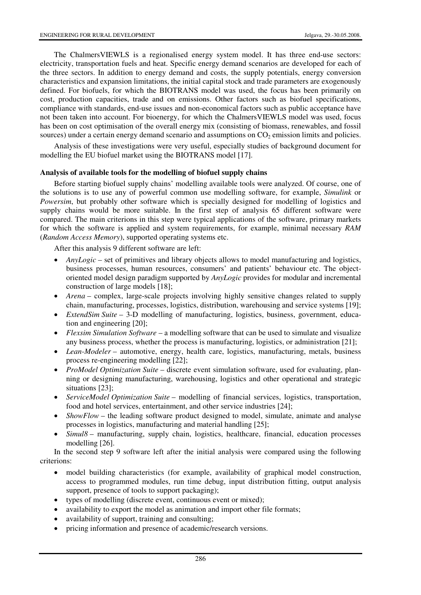The ChalmersVIEWLS is a regionalised energy system model. It has three end-use sectors: electricity, transportation fuels and heat. Specific energy demand scenarios are developed for each of the three sectors. In addition to energy demand and costs, the supply potentials, energy conversion characteristics and expansion limitations, the initial capital stock and trade parameters are exogenously defined. For biofuels, for which the BIOTRANS model was used, the focus has been primarily on cost, production capacities, trade and on emissions. Other factors such as biofuel specifications, compliance with standards, end-use issues and non-economical factors such as public acceptance have not been taken into account. For bioenergy, for which the ChalmersVIEWLS model was used, focus has been on cost optimisation of the overall energy mix (consisting of biomass, renewables, and fossil sources) under a certain energy demand scenario and assumptions on  $CO<sub>2</sub>$  emission limits and policies.

Analysis of these investigations were very useful, especially studies of background document for modelling the EU biofuel market using the BIOTRANS model [17].

#### **Analysis of available tools for the modelling of biofuel supply chains**

Before starting biofuel supply chains' modelling available tools were analyzed. Of course, one of the solutions is to use any of powerful common use modelling software, for example, *Simulink* or *Powersim*, but probably other software which is specially designed for modelling of logistics and supply chains would be more suitable. In the first step of analysis 65 different software were compared. The main criterions in this step were typical applications of the software, primary markets for which the software is applied and system requirements, for example, minimal necessary *RAM* (*Random Access Memory*), supported operating systems etc.

After this analysis 9 different software are left:

- *AnyLogic* set of primitives and library objects allows to model manufacturing and logistics, business processes, human resources, consumers' and patients' behaviour etc. The objectoriented model design paradigm supported by *AnyLogic* provides for modular and incremental construction of large models [18];
- *Arena* complex, large-scale projects involving highly sensitive changes related to supply chain, manufacturing, processes, logistics, distribution, warehousing and service systems [19];
- *ExtendSim Suite* 3-D modelling of manufacturing, logistics, business, government, education and engineering [20];
- *Flexsim Simulation Software* a modelling software that can be used to simulate and visualize any business process, whether the process is manufacturing, logistics, or administration [21];
- *Lean-Modeler* automotive, energy, health care, logistics, manufacturing, metals, business process re-engineering modelling [22];
- *ProModel Optimization Suite* discrete event simulation software, used for evaluating, planning or designing manufacturing, warehousing, logistics and other operational and strategic situations [23];
- *ServiceModel Optimization Suite* modelling of financial services, logistics, transportation, food and hotel services, entertainment, and other service industries [24];
- *ShowFlow* the leading software product designed to model, simulate, animate and analyse processes in logistics, manufacturing and material handling [25];
- *Simul8* manufacturing, supply chain, logistics, healthcare, financial, education processes modelling [26].

In the second step 9 software left after the initial analysis were compared using the following criterions:

- model building characteristics (for example, availability of graphical model construction, access to programmed modules, run time debug, input distribution fitting, output analysis support, presence of tools to support packaging);
- types of modelling (discrete event, continuous event or mixed);
- availability to export the model as animation and import other file formats;
- availability of support, training and consulting;
- pricing information and presence of academic/research versions.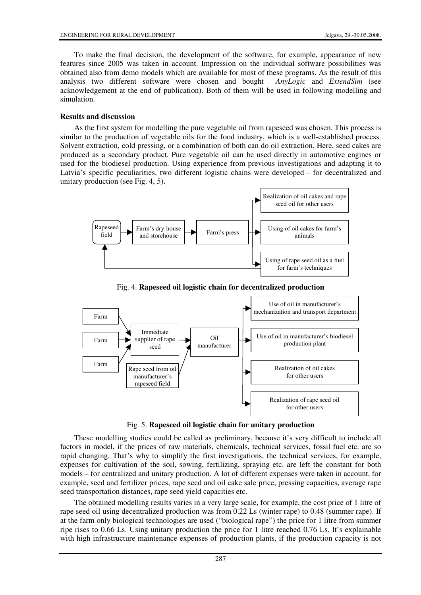To make the final decision, the development of the software, for example, appearance of new features since 2005 was taken in account. Impression on the individual software possibilities was obtained also from demo models which are available for most of these programs. As the result of this analysis two different software were chosen and bought – *AnyLogic* and *ExtendSim* (see acknowledgement at the end of publication). Both of them will be used in following modelling and simulation.

# **Results and discussion**

As the first system for modelling the pure vegetable oil from rapeseed was chosen. This process is similar to the production of vegetable oils for the food industry, which is a well-established process. Solvent extraction, cold pressing, or a combination of both can do oil extraction. Here, seed cakes are produced as a secondary product. Pure vegetable oil can be used directly in automotive engines or used for the biodiesel production. Using experience from previous investigations and adapting it to Latvia's specific peculiarities, two different logistic chains were developed – for decentralized and unitary production (see Fig. 4, 5).



Fig. 4. **Rapeseed oil logistic chain for decentralized production** 



Fig. 5. **Rapeseed oil logistic chain for unitary production**

These modelling studies could be called as preliminary, because it's very difficult to include all factors in model, if the prices of raw materials, chemicals, technical services, fossil fuel etc. are so rapid changing. That's why to simplify the first investigations, the technical services, for example, expenses for cultivation of the soil, sowing, fertilizing, spraying etc. are left the constant for both models – for centralized and unitary production. A lot of different expenses were taken in account, for example, seed and fertilizer prices, rape seed and oil cake sale price, pressing capacities, average rape seed transportation distances, rape seed yield capacities etc.

The obtained modelling results varies in a very large scale, for example, the cost price of 1 litre of rape seed oil using decentralized production was from 0.22 Ls (winter rape) to 0.48 (summer rape). If at the farm only biological technologies are used ("biological rape") the price for 1 litre from summer ripe rises to 0.66 Ls. Using unitary production the price for 1 litre reached 0.76 Ls. It's explainable with high infrastructure maintenance expenses of production plants, if the production capacity is not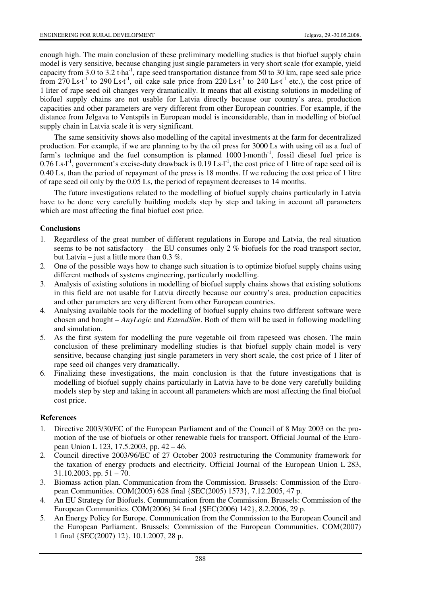enough high. The main conclusion of these preliminary modelling studies is that biofuel supply chain model is very sensitive, because changing just single parameters in very short scale (for example, yield capacity from 3.0 to 3.2 t·ha-1, rape seed transportation distance from 50 to 30 km, rape seed sale price from 270 Ls·t<sup>-1</sup> to 290 Ls·t<sup>-1</sup>, oil cake sale price from 220 Ls·t<sup>-1</sup> to 240 Ls·t<sup>-1</sup> etc.), the cost price of 1 liter of rape seed oil changes very dramatically. It means that all existing solutions in modelling of biofuel supply chains are not usable for Latvia directly because our country's area, production capacities and other parameters are very different from other European countries. For example, if the distance from Jelgava to Ventspils in European model is inconsiderable, than in modelling of biofuel supply chain in Latvia scale it is very significant.

The same sensitivity shows also modelling of the capital investments at the farm for decentralized production. For example, if we are planning to by the oil press for 3000 Ls with using oil as a fuel of farm's technique and the fuel consumption is planned 1000 l·month<sup>-1</sup>, fossil diesel fuel price is 0.76 Ls·l<sup>-1</sup>, government's excise-duty drawback is  $0.19$  Ls·l<sup>-1</sup>, the cost price of 1 litre of rape seed oil is 0.40 Ls, than the period of repayment of the press is 18 months. If we reducing the cost price of 1 litre of rape seed oil only by the 0.05 Ls, the period of repayment decreases to 14 months.

The future investigations related to the modelling of biofuel supply chains particularly in Latvia have to be done very carefully building models step by step and taking in account all parameters which are most affecting the final biofuel cost price.

# **Conclusions**

- 1. Regardless of the great number of different regulations in Europe and Latvia, the real situation seems to be not satisfactory – the EU consumes only  $2\%$  biofuels for the road transport sector, but Latvia – just a little more than  $0.3\%$ .
- 2. One of the possible ways how to change such situation is to optimize biofuel supply chains using different methods of systems engineering, particularly modelling.
- 3. Analysis of existing solutions in modelling of biofuel supply chains shows that existing solutions in this field are not usable for Latvia directly because our country's area, production capacities and other parameters are very different from other European countries.
- 4. Analysing available tools for the modelling of biofuel supply chains two different software were chosen and bought – *AnyLogic* and *ExtendSim*. Both of them will be used in following modelling and simulation.
- 5. As the first system for modelling the pure vegetable oil from rapeseed was chosen. The main conclusion of these preliminary modelling studies is that biofuel supply chain model is very sensitive, because changing just single parameters in very short scale, the cost price of 1 liter of rape seed oil changes very dramatically.
- 6. Finalizing these investigations, the main conclusion is that the future investigations that is modelling of biofuel supply chains particularly in Latvia have to be done very carefully building models step by step and taking in account all parameters which are most affecting the final biofuel cost price.

## **References**

- 1. Directive 2003/30/EC of the European Parliament and of the Council of 8 May 2003 on the promotion of the use of biofuels or other renewable fuels for transport. Official Journal of the European Union L 123, 17.5.2003, pp. 42 – 46.
- 2. Council directive 2003/96/EC of 27 October 2003 restructuring the Community framework for the taxation of energy products and electricity. Official Journal of the European Union L 283,  $31.10.2003$ , pp.  $51 - 70$ .
- 3. Biomass action plan. Communication from the Commission. Brussels: Commission of the European Communities. COM(2005) 628 final {SEC(2005) 1573}, 7.12.2005, 47 p.
- 4. An EU Strategy for Biofuels. Communication from the Commission. Brussels: Commission of the European Communities. COM(2006) 34 final {SEC(2006) 142}, 8.2.2006, 29 p.
- 5. An Energy Policy for Europe. Communication from the Commission to the European Council and the European Parliament. Brussels: Commission of the European Communities. COM(2007) 1 final {SEC(2007) 12}, 10.1.2007, 28 p.